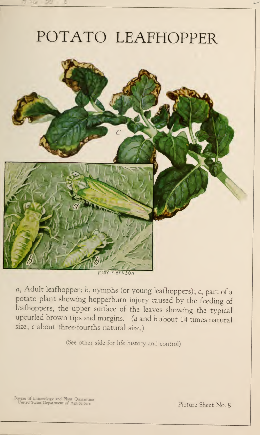# POTATO LEAFHOPPER



a, Adult leafhopper; b, nymphs (or young leafhoppers) ; c, part of <sup>a</sup> potato plant showing hopperburn injury caused by the feeding of leafhoppers, the upper surface of the leaves showing the typical upcurled brown tips and margins, (a and <sup>b</sup> about <sup>14</sup> times natural size; <sup>c</sup> about three-fourths natural size.)

(See other side for life history and control)

Bureau of Entomology and Plant Quarantine<br>United States Department of Agriculture

Picture Sheet No. 8